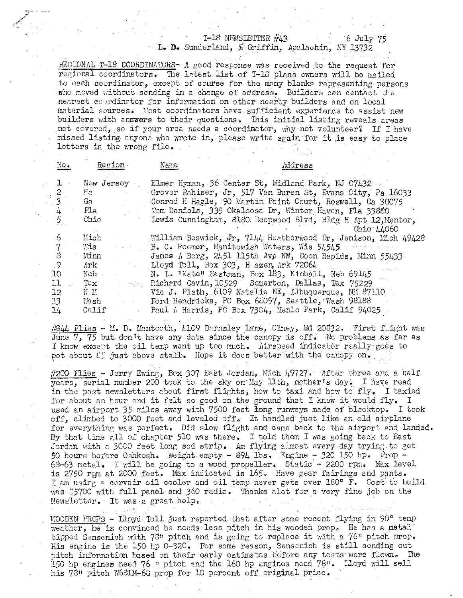## T-18 NEWSLETTER #43

6 July 75 L. D. Sunderland, & Griffin, Apalachin, NY 13732

REGIONAL T-18 COORDINATORS- A good response was received to the request for regional coordinators. The latest list of T-18 plans owners will be mailed to each coordinator, except of course for the many blanks representing persons who moved without sending in a change of address. Builders can contact the nearest courdinator for information on other nearby builders and on local material sources. Most coordinators have sufficient experience to assist new builders with answers to their questions. This initial listing reveals areas not covered, so if your area needs a coordinator, why not volunteer? If I have missed listing anyone who wrote in, please write again for it is easy to place letters in the wrong file.

| $\mathbb{N} \circ \bullet$                              | Region.                                                             | Name | Address                                                                                                                                                                                                                                                                                                                                                                                                                                                                                        |
|---------------------------------------------------------|---------------------------------------------------------------------|------|------------------------------------------------------------------------------------------------------------------------------------------------------------------------------------------------------------------------------------------------------------------------------------------------------------------------------------------------------------------------------------------------------------------------------------------------------------------------------------------------|
|                                                         | New Jersey<br>$Pe$ .<br>Ga i<br>FLa<br>Ohio                         |      | Elmer Hyman, 36 Center St, Midland Park, NJ 07432.<br>Grover Rahiser, Jr, 517 Van Buren St, Evans City, Pa 16033<br>Conrad H Hagle, 90 Martin Point Court, Roswell, Ga 30075<br>Tom Daniels, 335 Okaloosa Dr, Winter Haven, Fla 33880<br>Lewis Cunningham, 8180 Deepwood Blvd, Bldg H Apt 12, Mentor,<br>Ohio 44060                                                                                                                                                                            |
| 6<br>8<br>-9<br>10<br>11<br>12<br>13 <sup>°</sup><br>14 | Mich<br>Wis<br>Minn<br>Ark -<br>Neb -<br>Tex<br>NM<br>Vash<br>Calif |      | William Beswick, Jr. 7144 Heatherwood Dr. Jenison, Mich 49428<br>B. C. Roemer, Manitowish Waters, Wis 54545<br>James A Borg, 2451 115th Ave NW, Coon Rapids, Minn 55433<br>Lloyd Toll, Box 303, H azen, Ark 72064<br>N. L. "Nate" Eastman, Box 183, Kimball, Neb 69145<br>Richard Cavin, 10529 Somerton, Dallas, Tex 75229<br>Vic J. Plath, 6109 Natalie NE, Albuquerque, NM 87110<br>Ford Hendricks, PO Box 68097, Seattle, Wash 98188<br>Paul A Harris, PO Box 7304, Menlo Park, Calif 94025 |

#844 Flies - M. B. Mantooth, 4109 Barnsley Lane, Olney, Md 20832. Trirst flight was June  $7, 75$  but don't have any data since the canopy is off. Wo problems as far as I know except the oil temp went up too much. Airspeed indicator really goes to pot about  $\ell$  just above stall. Hope it does better with the canopy on.

#200 Flies - Jerry Ewing, Box 307 East Jordan, Mich 49727. After three and a half years, scrial number 200 took to the sky on May llth, mother's day. I have read in the past newsletters about first flights, how to taxi and how to fly. I taxied for about an hour and it felt so good on the ground that I knew it would fly. I used an airport 35 miles away with 7500 feet long runways made of blacktop. I took off, climbed to 3000 feet and leveled off. It handled just like an old airplane for everything was perfect. Did slow flight and came back to the airport and landed. By that time all of chapter 510 was there. I told them I was going back to East Jordan with a 3000 feet long sod strip. Am flying almost every day trying to get 50 hours before Oshkosh. Weight empty - 894 lbs. Engine - 320 150 hp. Prop -68-63 metal. I will be going to a wood propeller. Static - 2200 rpm. Max level is 2750 rpm at 2000 feet. Max indicated is 165. Have gear fairings and pants. I am using a corvair oil cooler and oil temp never gets over 180° F. Cost to build was \$5700 with full panel and 360 radio. Thanks alot for a very fine job on the Newsletter. It was a great help.

WOODEN PROPS - Lloyd Toll just reported that after some recent flying in 90° temp weather, he is convinced he needs less pitch in his wooden prop. He has a metal' tipped Sensenich with 78" pitch and is going to replace it with a 76" pitch prop. His engine is the 150 hp  $0-320$ . For some reason, Sensenich is still sending out pitch information based on their early estimates before any tests were flown. The 150 hp engines need 76 " pitch and the 160 hp engines need 78". Iloyd will sell his 78" pitch W68LM-66 prop for 10 percent off original price.

i sa Sh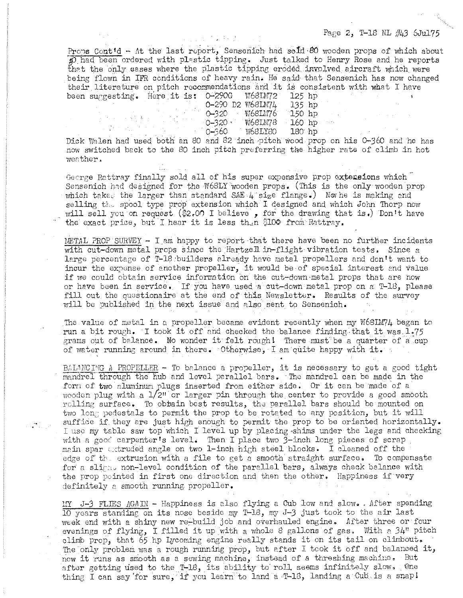## Page 2, T-18 NL  $/443$  6Jul75

Props Cont'd - At the last report, Sensenich had sold 80 wooden props of which about  $f$ <sub>p</sub>) had been ordered with plastic tipping. Just talked to Henry Rose and he reports that the only cases where the plastic tipping eroded involved aircraft which were being flown in 1FR conditions of heavy rain. He said that Sensenich has now changed their literature on pitch recommendations and it is consistent with what I hays been surgesting. Here it is: 0-290G W68LM72 125 hp

|                  |         | سيمتعه بريتمنك |
|------------------|---------|----------------|
| 0-290 D2 W68LM74 |         | $135$ hp       |
| 0–320 –          | W68LM76 | $150$ hp       |
| $-0 - 320 - 1$   | W68LM78 | - 160 hp -     |
| 0–360            | W68LY80 | $180$ hp       |
|                  |         |                |

Dick Walen had used both an 80 and 82 inch pitch wood prop on his 0-360 and he has now switched back to the 80 inch pitch preferring the higher rate of climb in hot **wenther** <sup>~</sup>

化平均分布 新生儿 医过敏性征

George Rattray finally sold all of his super expensive prop extensions which Sensenich had designed for the W68LY wooden props. (This is the only wooden prop which takes the larger than standard SAE  $4^{\circ}$  size flange.) Now he is making and selling  $t_{\text{L}}$  spool type prop extension which I designed and which John Thorp now will sell you on request ( $$2.00$  I believe, for the drawing that is.) Don't have the exact price, but I hear it is less then \$100 from Rattray.

METAL PROP SURVEY - I am happy to report that there have been no further incidents with cut-down metal props since the Hartzell in-flight vibration tests. Since a large percentage of T-18 builders already have metal propellers and don't want to incur the expense of another propeller, it would be of special interest and value if we could obtain service information on the cut-dawn-metal props that are how or have been in service. If you have used a cut-down metal prop on a T-18, please fill out the questionaire at the end of this Newsletter. Results of the survey will be published in the next issue and also sent to Sensenich.

The value of metal in a propeller became evident recently when my  $W681M/4$  began to run a bit rough. I took it off and checked the balance finding that it was  $1.75$ grams out of balance. No wonder it felt rough! There must be a quarter of a cup of water running around in there. Otherwise, I am quite happy with it.

 $B<sub>0</sub>LMCING A PROFELLER - To balance a propeller, it is necessary to get a good tight$ mandrel through the hub and level parallel bars. The mandrel can be made in the form of two aluminum plugs inserted from either side. Or it can be made of a wooden plug with a  $1/2$ " or larger pin through the center to provide a good smooth rclling surface. To obtain best results, the parallel bars should be mounted on two long pedestals to permit the prop to be rotated to any position, but it will suffice if they are just high enough to permit the prop to be oriented horizontally. I use my table saw top 'which I level up by p12cing ·shims under the legs and checking with a good carpenter's level. Then I place two  $3$ -inch long pieces of scrap main spar uxtruded angle on two 1-inch high steel blocks. I cleaned off the edge of the extrusion with a file to get a smooth straight surface. To compensate for a slimit non-level condition of the parallel bars, always check balance with the prop pointed in first ono direction and then the other. Happiness if'very definitely a smooth running propeller.

 $\text{M}$  J-3 FLIES  $\text{AGAIN}$  - Happiness is also flying a Oub low and slow. , After spending 10 years standing on its nose beside my T-18, my J-3 just took to the air last week end with a shiny new re-build job and overhauled engine. After three or four evenings of flying, I filled it up with a whole 8 gallons of gas. With a  $34$ " pitch climb prop, that 65 hp Lycoming engine really stands it on its tail on climbout. The only problem was a rough running prop, but after I took it off and balanced it, now it runs as smooth as a sewing machine, instead of a threshing machine. But after getting used to the T-18, its ability to roll seems infinitely slow. One thing I can say for sure, if you learn to land a  $T-18$ , landing a Cub. is a snap!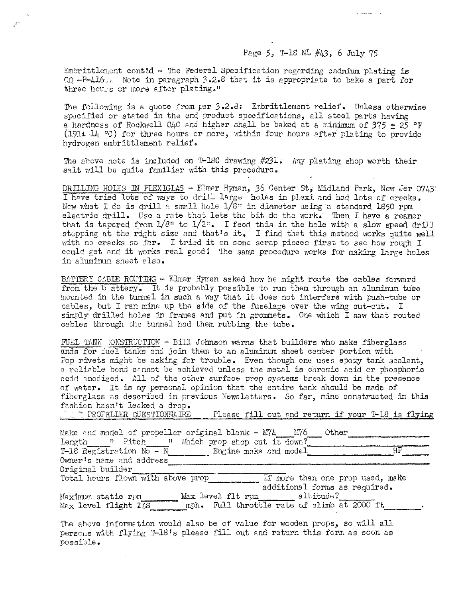## Page 5, T-18 NL #43, 6 July 75

Embrittlement cont $td$  - The Federal Specification regarding cadmium plating is  $QQ$  -P-416 $\epsilon$ . Note in paragraph 3.2.8 that it is appropriate to bake a part for three hours or more after plating."

The following is a quote from par 3.2.8: Embrittlement relief. Unless otherwise specified or stated in the end product specifications, all steel parts having a hardness of Rockwell  $040$  and higher shall be baked at a minimum of  $375 \pm 25$  OF (1911  $\mu$  °C) for three hours or more, within four hours after plating to provide hydrogen embrittlement relief.

The above note is included on T-18C drawing  $#231$ . Any plating shop worth their salt will be quite familiar with this procedure.

DRILLING HOLES IN PIEXIGLAS - Elmer Hymen, 36 Center St, Midland Park, New Jer 0743: I have tried lots of ways to drill large holes in plexi and had lots of cracks. Now what I do is drill a small hole  $1/8$ " in diameter using a standard 1850 rpm electric drill. Use a rate that lets the bit do the work. Then I have a reamer that is tapered from  $1/8$ <sup>n</sup> to  $1/2$ <sup>n</sup>. I feed this in the hole with a slow speed drill stopping at the right size and that's it. I find that this method works quite well with no cracks so far. I tried it on some scrap pieces first to see how rough I could get and it works real good! The same procedure works for making large holes in aluminum sheet also.

BATTERY CABLE ROUTING - Elmer Hymen asked how he might route the cables forward from the battery. It is probably possible to run them through an aluminum tube mounted in the turnmel in such a way that it does not interfere with push-tube or cables, but I ran mine up the side of the fuselage over the wing cut-out. I simply drilled holes in frames and put in grommets. One which I saw that routed cables through the tunnel had them rubbing the tube.

FUEL TANK CONSTRUCTION - Bill Johnson warns that builders who make fiberglass onds for fuel tanks and join them to an aluminum sheet center portion with Pop rivets might be asking for trouble. Even though one uses epoxy tank sealant, a reliable bond cannot be achieved unless the metal is chromic acid or phosphoric acid anodized. All of the other surface prep systems break down in the presence of water. It is my personal opinion that the entire tank should be made of fiberglass as described in previous Newsletters. So far, mine constructed in this fashion hasn't leaked a drop.<br>. The TheoPELLER QUESTIONNAIRE

Please fill out and return if your T-18 is flying

| Make and model of propeller original blank - $MT\mu$ $MT6$<br>Other<br>Length " Pitch " Which prop shop cut it down?<br>HP<br>T-18 Registration $N_0 - N$ Engine make and model<br>Owner's name and address |  |
|-------------------------------------------------------------------------------------------------------------------------------------------------------------------------------------------------------------|--|
|                                                                                                                                                                                                             |  |
| Original builder                                                                                                                                                                                            |  |
| Total hours flown with above prop<br>If more than one prop used, make                                                                                                                                       |  |
| additional forms as required.                                                                                                                                                                               |  |
| Max level flt rpm altitude?<br>Maximum static rpm                                                                                                                                                           |  |
|                                                                                                                                                                                                             |  |
| mph. Full throttle rate of climb at 2000 ft<br>Max level flight IAS                                                                                                                                         |  |
|                                                                                                                                                                                                             |  |
| The above information would also be of value for wooden props, so will all                                                                                                                                  |  |
| persons with flying T-18's please fill out and return this form as soon as                                                                                                                                  |  |
| possible.                                                                                                                                                                                                   |  |